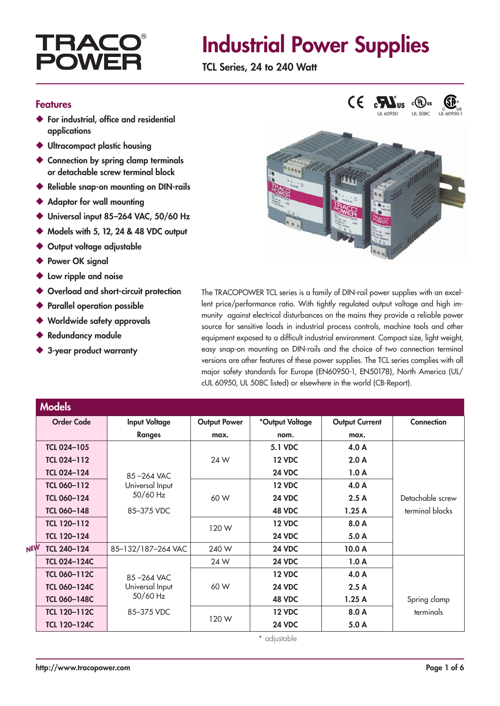### TRAC **POW**

## Industrial Power Supplies

TCL Series, 24 to 240 Watt

#### Features

- ◆ For industrial, office and residential applications
- ◆ Ultracompact plastic housing
- Connection by spring clamp terminals or detachable screw terminal block
- ◆ Reliable snap-on mounting on DIN-rails
- ◆ Adaptor for wall mounting
- ◆ Universal input 85-264 VAC, 50/60 Hz
- ◆ Models with 5, 12, 24 & 48 VDC output
- ◆ Output voltage adjustable
- ◆ Power OK signal
- ◆ Low ripple and noise
- Overload and short-circuit protection
- ◆ Parallel operation possible
- Worldwide safety approvals
- **Redundancy module**
- ◆ 3-year product warranty



The TRACOPOWER TCL series is a family of DIN-rail power supplies with an excellent price/performance ratio. With tightly regulated output voltage and high immunity against electrical disturbances on the mains they provide a reliable power source for sensitive loads in industrial process controls, machine tools and other equipment exposed to a difficult industrial environment. Compact size, light weight, easy snap-on mounting on DIN-rails and the choice of two connection terminal versions are other features of these power supplies. The TCL series complies with all major safety standards for Europe (EN60950-1, EN50178), North America (UL/ cUL 60950, UL 508C listed) or elsewhere in the world (CB-Report).

|            | <b>Models</b>       |                      |                     |                 |                       |                  |
|------------|---------------------|----------------------|---------------------|-----------------|-----------------------|------------------|
|            | <b>Order Code</b>   | <b>Input Voltage</b> | <b>Output Power</b> | *Output Voltage | <b>Output Current</b> | Connection       |
|            |                     | <b>Ranges</b>        | max.                | nom.            | max.                  |                  |
|            | <b>TCL 024-105</b>  |                      |                     | <b>5.1 VDC</b>  | 4.0 A                 |                  |
|            | <b>TCL 024-112</b>  |                      | 24 W                | <b>12 VDC</b>   | 2.0A                  |                  |
|            | <b>TCL 024-124</b>  | 85-264 VAC           |                     | <b>24 VDC</b>   | 1.0A                  |                  |
|            | <b>TCL 060-112</b>  | Universal Input      |                     | <b>12 VDC</b>   | 4.0 A                 |                  |
|            | <b>TCL 060-124</b>  | 50/60 Hz             | 60 W                | 24 VDC          | 2.5A                  | Detachable screw |
|            | <b>TCL 060-148</b>  | 85-375 VDC           |                     | 48 VDC          | 1.25A                 | terminal blocks  |
|            | TCL 120-112         |                      | 120 W               | <b>12 VDC</b>   | 8.0 A                 |                  |
|            | TCL 120-124         |                      |                     | 24 VDC          | 5.0A                  |                  |
| <b>NEW</b> | TCL 240-124         | 85-132/187-264 VAC   | 240 W               | <b>24 VDC</b>   | 10.0A                 |                  |
|            | <b>TCL 024-124C</b> |                      | 24 W                | 24 VDC          | 1.0A                  |                  |
|            | <b>TCL 060-112C</b> | 85-264 VAC           |                     | <b>12 VDC</b>   | 4.0 A                 |                  |
|            | <b>TCL 060-124C</b> | Universal Input      | 60 W                | 24 VDC          | 2.5A                  |                  |
|            | <b>TCL 060-148C</b> | 50/60 Hz             |                     | 48 VDC          | 1.25A                 | Spring clamp     |
|            | TCL 120-112C        | 85-375 VDC           | 120 W               | <b>12 VDC</b>   | 8.0 A                 | terminals        |
|            | <b>TCL 120-124C</b> |                      |                     | <b>24 VDC</b>   | 5.0 A                 |                  |

\* adjustable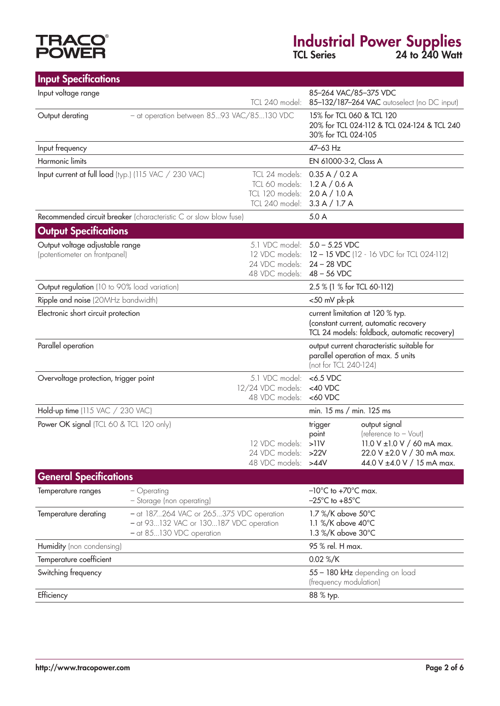# **TRACO<sup>®</sup>**<br>POWER

### Industrial Power Supplies TCL Series 24 to 240 Watt

| <b>Input Specifications</b>                                                                    |                                                                                                               |                                                                           |                                                                                                                           |                                                                                                                                   |  |
|------------------------------------------------------------------------------------------------|---------------------------------------------------------------------------------------------------------------|---------------------------------------------------------------------------|---------------------------------------------------------------------------------------------------------------------------|-----------------------------------------------------------------------------------------------------------------------------------|--|
| Input voltage range<br>TCL 240 model:                                                          |                                                                                                               |                                                                           | 85-264 VAC/85-375 VDC<br>85-132/187-264 VAC autoselect (no DC input)                                                      |                                                                                                                                   |  |
| Output derating                                                                                | - at operation between 8593 VAC/85130 VDC                                                                     |                                                                           | 15% for TCL 060 & TCL 120<br>30% for TCL 024-105                                                                          | 20% for TCL 024-112 & TCL 024-124 & TCL 240                                                                                       |  |
| Input frequency                                                                                |                                                                                                               |                                                                           | 47-63 Hz                                                                                                                  |                                                                                                                                   |  |
| Harmonic limits                                                                                |                                                                                                               |                                                                           | EN 61000-3-2, Class A                                                                                                     |                                                                                                                                   |  |
| Input current at full load (typ.) (115 VAC / 230 VAC)                                          | TCL 24 models: 0.35 A / 0.2 A<br>TCL 60 models:<br>TCL 120 models:<br>TCL 240 model: 3.3 A / 1.7 A            | 1.2 A / 0.6 A<br>2.0 A / 1.0 A                                            |                                                                                                                           |                                                                                                                                   |  |
|                                                                                                | Recommended circuit breaker (characteristic C or slow blow fuse)                                              |                                                                           | 5.0 A                                                                                                                     |                                                                                                                                   |  |
| <b>Output Specifications</b>                                                                   |                                                                                                               |                                                                           |                                                                                                                           |                                                                                                                                   |  |
| Output voltage adjustable range<br>(potentiometer on frontpanel)                               | 5.1 VDC model: 5.0 - 5.25 VDC<br>24 VDC models:<br>48 VDC models: 48 - 56 VDC                                 | 12 VDC models: 12 - 15 VDC (12 - 16 VDC for TCL 024-112)<br>$24 - 28$ VDC |                                                                                                                           |                                                                                                                                   |  |
| Output regulation (10 to 90% load variation)                                                   |                                                                                                               |                                                                           | 2.5 % (1 % for TCL 60-112)                                                                                                |                                                                                                                                   |  |
| Ripple and noise (20MHz bandwidth)                                                             |                                                                                                               |                                                                           | <50 mV pk-pk                                                                                                              |                                                                                                                                   |  |
| Electronic short circuit protection                                                            |                                                                                                               |                                                                           | current limitation at 120 % typ.<br>(constant current, automatic recovery<br>TCL 24 models: foldback, automatic recovery) |                                                                                                                                   |  |
| Parallel operation                                                                             |                                                                                                               |                                                                           | (not for TCL 240-124)                                                                                                     | output current characteristic suitable for<br>parallel operation of max. 5 units                                                  |  |
| 5.1 VDC model:<br>Overvoltage protection, trigger point<br>12/24 VDC models:<br>48 VDC models: |                                                                                                               |                                                                           | $<$ 6.5 VDC<br>$<$ 40 VDC<br>$<$ 60 VDC                                                                                   |                                                                                                                                   |  |
| Hold-up time (115 VAC / 230 VAC)                                                               |                                                                                                               |                                                                           | min. 15 ms / min. 125 ms                                                                                                  |                                                                                                                                   |  |
| Power OK signal (TCL 60 & TCL 120 only)<br>12 VDC models:                                      |                                                                                                               |                                                                           | trigger<br>point<br>>11V<br>24 VDC models: >22V<br>48 VDC models: >44V                                                    | output signal<br>(reference to - Vout)<br>11.0 V ±1.0 V / 60 mA max.<br>22.0 V ± 2.0 V / 30 mA max.<br>44.0 V ±4.0 V / 15 mA max. |  |
| <b>General Specifications</b>                                                                  |                                                                                                               |                                                                           |                                                                                                                           |                                                                                                                                   |  |
| Temperature ranges                                                                             | - Operating<br>- Storage (non operating)                                                                      |                                                                           | $-10^{\circ}$ C to $+70^{\circ}$ C max.<br>$-25^{\circ}$ C to $+85^{\circ}$ C                                             |                                                                                                                                   |  |
| Temperature derating                                                                           | - at 187264 VAC or 265375 VDC operation<br>- at 93132 VAC or 130187 VDC operation<br>- at 85130 VDC operation |                                                                           | 1.7 %/K above 50°C<br>1.1 %/K above 40°C<br>1.3 %/K above 30°C                                                            |                                                                                                                                   |  |
| Humidity (non condensing)                                                                      |                                                                                                               | 95 % rel. H max.                                                          |                                                                                                                           |                                                                                                                                   |  |
| Temperature coefficient                                                                        |                                                                                                               |                                                                           | 0.02 %/K                                                                                                                  |                                                                                                                                   |  |
| Switching frequency                                                                            |                                                                                                               |                                                                           | 55 - 180 kHz depending on load<br>(frequency modulation)                                                                  |                                                                                                                                   |  |
| Efficiency                                                                                     |                                                                                                               |                                                                           | 88 % typ.                                                                                                                 |                                                                                                                                   |  |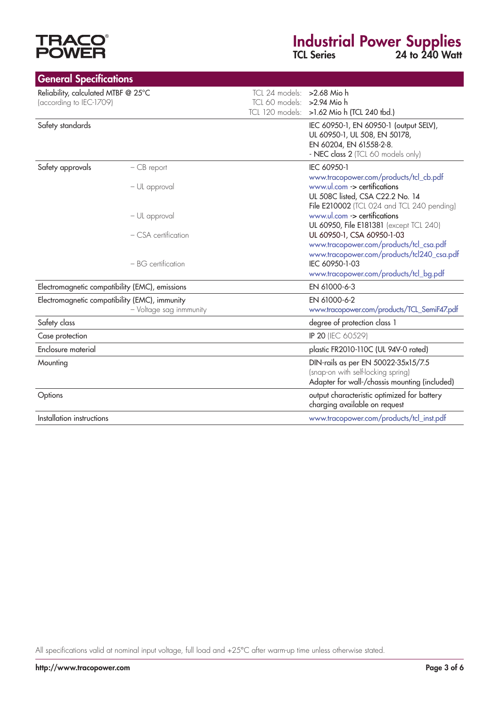# **TRACO<sup>®</sup>**<br>POWER

### Industrial Power Supplies

TCL Series 24 to 240 Watt

| <b>General Specifications</b>                                  |                                                                          |                                                           |                                                                                                                                          |
|----------------------------------------------------------------|--------------------------------------------------------------------------|-----------------------------------------------------------|------------------------------------------------------------------------------------------------------------------------------------------|
| Reliability, calculated MTBF @ 25°C<br>(according to IEC-1709) |                                                                          | TCL 24 models: > 2.68 Mio h<br>TCL 60 models: >2.94 Mio h | TCL 120 models: >1.62 Mio h (TCL 240 tbd.)                                                                                               |
| Safety standards                                               |                                                                          |                                                           | IEC 60950-1, EN 60950-1 (output SELV),<br>UL 60950-1, UL 508, EN 50178,<br>EN 60204, EN 61558-2-8.<br>- NEC class 2 (TCL 60 models only) |
| Safety approvals                                               | $-CB$ report                                                             |                                                           | IEC 60950-1<br>www.tracopower.com/products/tcl_cb.pdf                                                                                    |
|                                                                | - UL approval                                                            |                                                           | www.ul.com -> certifications<br>UL 508C listed, CSA C22.2 No. 14<br>File E210002 (TCL 024 and TCL 240 pending)                           |
|                                                                | - UL approval                                                            |                                                           | www.ul.com -> certifications<br>UL 60950, File E181381 (except TCL 240)                                                                  |
|                                                                | - CSA certification                                                      |                                                           | UL 60950-1, CSA 60950-1-03<br>www.tracopower.com/products/tcl_csa.pdf                                                                    |
|                                                                | $- BG$ certification                                                     |                                                           | www.tracopower.com/products/tcl240_csa.pdf<br>IEC 60950-1-03<br>www.tracopower.com/products/tcl_bg.pdf                                   |
|                                                                | Electromagnetic compatibility (EMC), emissions                           |                                                           | EN 61000-6-3                                                                                                                             |
|                                                                | Electromagnetic compatibility (EMC), immunity<br>- Voltage sag inmmunity |                                                           | EN 61000-6-2<br>www.tracopower.com/products/TCL_SemiF47.pdf                                                                              |
| Safety class                                                   |                                                                          |                                                           | degree of protection class 1                                                                                                             |
| Case protection                                                |                                                                          |                                                           | IP 20 (IEC 60529)                                                                                                                        |
| Enclosure material                                             |                                                                          |                                                           | plastic FR2010-110C (UL 94V-0 rated)                                                                                                     |
| Mounting                                                       |                                                                          |                                                           | DIN-rails as per EN 50022-35x15/7.5<br>(snap-on with self-locking spring)<br>Adapter for wall-/chassis mounting (included)               |
| Options                                                        |                                                                          |                                                           | output characteristic optimized for battery<br>charging available on request                                                             |
| Installation instructions                                      |                                                                          |                                                           | www.tracopower.com/products/tcl_inst.pdf                                                                                                 |

All specifications valid at nominal input voltage, full load and +25°C after warm-up time unless otherwise stated.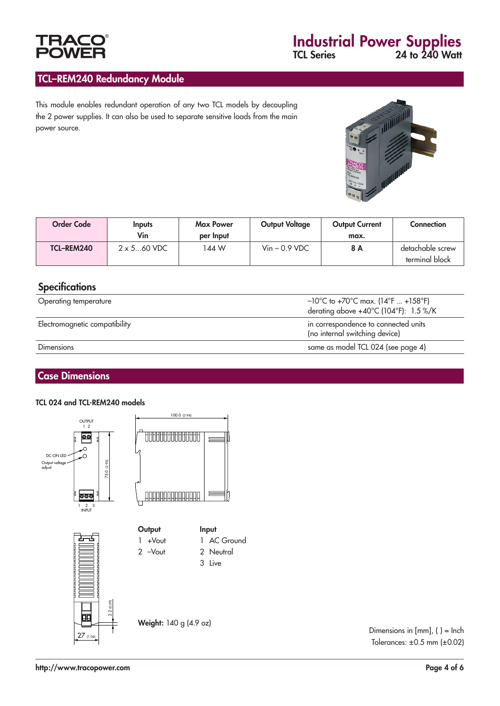#### TCL–REM240 Redundancy Module

This module enables redundant operation of any two TCL models by decoupling the 2 power supplies. It can also be used to separate sensitive loads from the main power source.



| <b>Order Code</b> | Inputs<br>Vin       | <b>Max Power</b><br>per Input | <b>Output Voltage</b>     | <b>Output Current</b><br>max. | <b>Connection</b>                  |
|-------------------|---------------------|-------------------------------|---------------------------|-------------------------------|------------------------------------|
| TCL-REM240        | $2 \times 5$ 60 VDC | 144 W                         | $V_{\text{in}}$ – 0.9 VDC | 8 A                           | detachable screw<br>terminal block |

#### **Specifications**

| Operating temperature         | $-10^{\circ}$ C to +70 $^{\circ}$ C max. (14 $^{\circ}$ F  +158 $^{\circ}$ F)<br>derating above $+40^{\circ}$ C (104 $^{\circ}$ F): 1.5 %/K |
|-------------------------------|---------------------------------------------------------------------------------------------------------------------------------------------|
| Electromagnetic compatibility | in correspondence to connected units<br>(no internal switching device)                                                                      |
| <b>Dimensions</b>             | same as model TCL 024 (see page 4)                                                                                                          |

#### Case Dimensions

#### TCL 024 and TCL-REM240 models



Dimensions in [mm], ( ) = Inch Tolerances: ±0.5 mm (±0.02)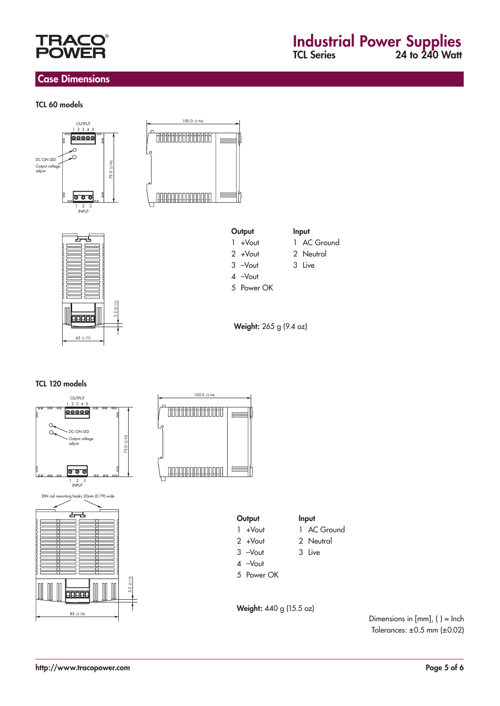

#### Case Dimensions

#### TCL 60 models











2 +Vout 2 Neutral

3 –Vout 3 Live

4 –Vout

5 Power OK

Weight: 265 g (9.4 oz)

#### TCL 120 models



Dimensions in [mm], ( ) = Inch Tolerances: ±0.5 mm (±0.02)